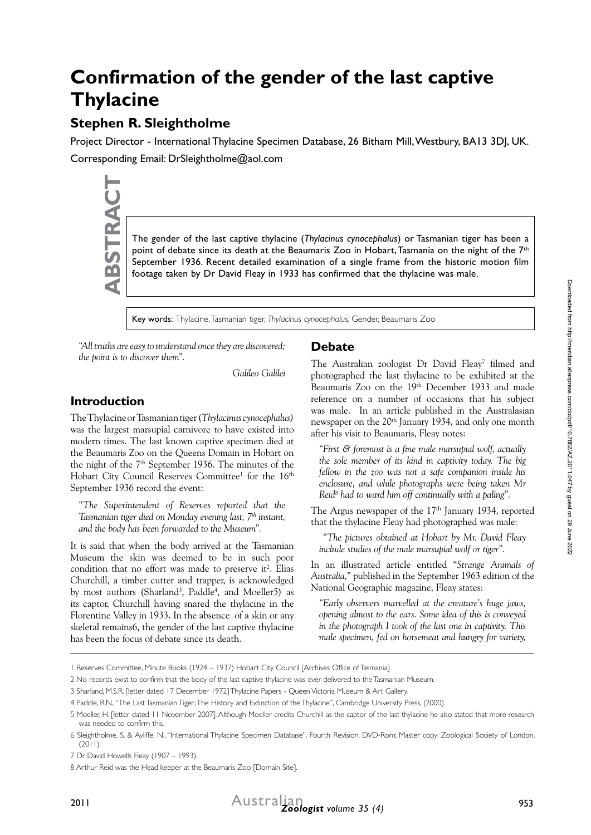# **Confirmation of the gender of the last captive Thylacine**

# **Stephen R. Sleightholme**

Project Director - International Thylacine Specimen Database, 26 Bitham Mill, Westbury, BA13 3DJ, UK. Corresponding Email: DrSleightholme@aol.com

The gender of the last captive thylacine (*Thylacinus cynocephalus*) or Tasmanian tiger has been a point of debate since its death at the Beaumaris Zoo in Hobart, Tasmania on the night of the 7<sup>th</sup> footage taken by Dr Davi point of debate since its death at the Beaumaris Zoo in Hobart, Tasmania on the night of the 7<sup>th</sup> September 1936. Recent detailed examination of a single frame from the historic motion film footage taken by Dr David Fleay in 1933 has confirmed that the thylacine was male.

Key words: Thylacine, Tasmanian tiger, *Thylacinus cynocephalus*, Gender, Beaumaris Zoo

*"All truths are easy to understand once they are discovered; the point is to discover them".*

*Galileo Galilei*

## **Introduction**

The Thylacine or Tasmanian tiger (*Thylacinus cynocephalus)* was the largest marsupial carnivore to have existed into modern times. The last known captive specimen died at the Beaumaris Zoo on the Queens Domain in Hobart on the night of the  $7<sup>th</sup>$  September 1936. The minutes of the Hobart City Council Reserves Committee<sup>1</sup> for the 16<sup>th</sup> September 1936 record the event:

*"The Superintendent of Reserves reported that the Tasmanian tiger died on Monday evening last, 7th instant, and the body has been forwarded to the Museum".*

It is said that when the body arrived at the Tasmanian Museum the skin was deemed to be in such poor condition that no effort was made to preserve it<sup>2</sup>. Elias Churchill, a timber cutter and trapper, is acknowledged by most authors (Sharland<sup>3</sup>, Paddle<sup>4</sup>, and Moeller5) as its captor, Churchill having snared the thylacine in the Florentine Valley in 1933. In the absence of a skin or any skeletal remains6, the gender of the last captive thylacine has been the focus of debate since its death.

### **Debate**

The Australian zoologist Dr David Fleay<sup>7</sup> filmed and photographed the last thylacine to be exhibited at the Beaumaris Zoo on the 19<sup>th</sup> December 1933 and made reference on a number of occasions that his subject was male. In an article published in the Australasian newspaper on the 20<sup>th</sup> January 1934, and only one month after his visit to Beaumaris, Fleay notes:

*"First & foremost is a fine male marsupial wolf, actually the sole member of its kind in captivity today. The big fellow in the zoo was not a safe companion inside his enclosure, and while photographs were being taken Mr Reid8 had to ward him off continually with a paling".* 

The Argus newspaper of the 17<sup>th</sup> January 1934, reported that the thylacine Fleay had photographed was male:

 *"The pictures obtained at Hobart by Mr. David Fleay include studies of the male marsupial wolf or tiger".*

In an illustrated article entitled "*Strange Animals of Australia,*" published in the September 1963 edition of the National Geographic magazine, Fleay states:

*"Early observers marvelled at the creature's huge jaws, opening almost to the ears. Some idea of this is conveyed in the photograph I took of the last one in captivity. This male specimen, fed on horsemeat and hungry for variety,* 

2 No records exist to confirm that the body of the last captive thylacine was ever delivered to the Tasmanian Museum.

<sup>1</sup> Reserves Committee, Minute Books (1924 – 1937) Hobart City Council [Archives Office of Tasmania].

<sup>3</sup> Sharland, M.S.R. [letter dated 17 December 1972] Thylacine Papers - Queen Victoria Museum & Art Gallery.

<sup>4</sup> Paddle, R.N., "The Last Tasmanian Tiger; The History and Extinction of the Thylacine", Cambridge University Press, (2000).

<sup>5</sup> Moeller, H. [letter dated 11 November 2007]. Although Moeller credits Churchill as the captor of the last thylacine he also stated that more research was needed to confirm this.

<sup>6</sup> Sleightholme, S. & Ayliffe, N., "International Thylacine Specimen Database", Fourth Revision, DVD-Rom; Master copy: Zoological Society of London,  $(2011)$ 

<sup>7</sup> Dr David Howells Fleay (1907 – 1993).

<sup>8</sup> Arthur Reid was the Head keeper at the Beaumaris Zoo [Domain Site].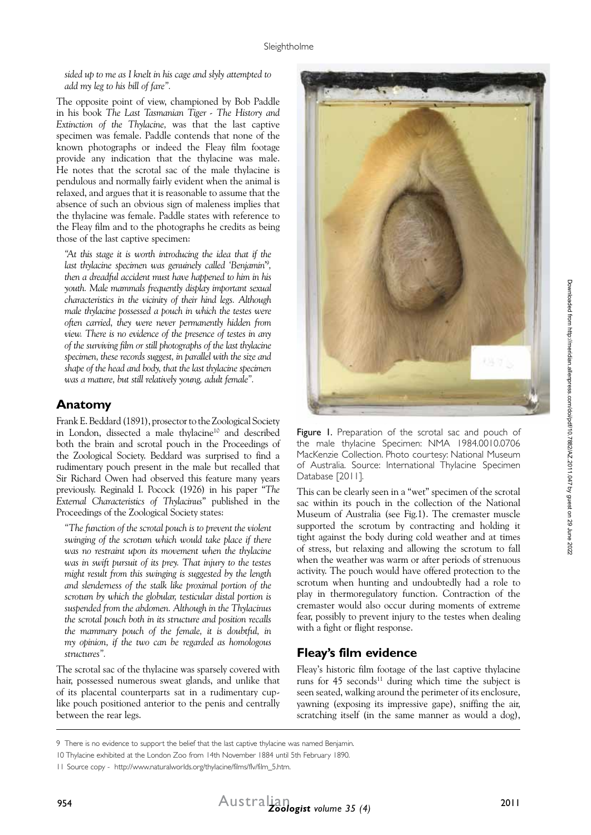*sided up to me as I knelt in his cage and slyly attempted to add my leg to his bill of fare".*

The opposite point of view, championed by Bob Paddle in his book *The Last Tasmanian Tiger - The History and Extinction of the Thylacine,* was that the last captive specimen was female. Paddle contends that none of the known photographs or indeed the Fleay film footage provide any indication that the thylacine was male. He notes that the scrotal sac of the male thylacine is pendulous and normally fairly evident when the animal is relaxed, and argues that it is reasonable to assume that the absence of such an obvious sign of maleness implies that the thylacine was female. Paddle states with reference to the Fleay film and to the photographs he credits as being those of the last captive specimen:

*"At this stage it is worth introducing the idea that if the last thylacine specimen was genuinely called 'Benjamin'9 , then a dreadful accident must have happened to him in his youth. Male mammals frequently display important sexual characteristics in the vicinity of their hind legs. Although male thylacine possessed a pouch in which the testes were often carried, they were never permanently hidden from view. There is no evidence of the presence of testes in any of the surviving film or still photographs of the last thylacine specimen, these records suggest, in parallel with the size and shape of the head and body, that the last thylacine specimen was a mature, but still relatively young, adult female".*

#### **Anatomy**

Frank E. Beddard (1891), prosector to the Zoological Society in London, dissected a male thylacine<sup>10</sup> and described both the brain and scrotal pouch in the Proceedings of the Zoological Society. Beddard was surprised to find a rudimentary pouch present in the male but recalled that Sir Richard Owen had observed this feature many years previously. Reginald I. Pocock (1926) in his paper "*The External Characteristics of Thylacinus*" published in the Proceedings of the Zoological Society states:

*"The function of the scrotal pouch is to prevent the violent swinging of the scrotum which would take place if there*  was no restraint upon its movement when the thylacine was in swift pursuit of its prey. That injury to the testes *might result from this swinging is suggested by the length and slenderness of the stalk like proximal portion of the scrotum by which the globular, testicular distal portion is suspended from the abdomen. Although in the Thylacinus the scrotal pouch both in its structure and position recalls the mammary pouch of the female, it is doubtful, in my opinion, if the two can be regarded as homologous structures".* 

The scrotal sac of the thylacine was sparsely covered with hair, possessed numerous sweat glands, and unlike that of its placental counterparts sat in a rudimentary cuplike pouch positioned anterior to the penis and centrally between the rear legs.



Figure I. Preparation of the scrotal sac and pouch of the male thylacine Specimen: NMA 1984.0010.0706 MacKenzie Collection. Photo courtesy: National Museum of Australia. Source: International Thylacine Specimen Database [2011].

This can be clearly seen in a "wet" specimen of the scrotal sac within its pouch in the collection of the National Museum of Australia (see Fig.1). The cremaster muscle supported the scrotum by contracting and holding it tight against the body during cold weather and at times of stress, but relaxing and allowing the scrotum to fall when the weather was warm or after periods of strenuous activity. The pouch would have offered protection to the scrotum when hunting and undoubtedly had a role to play in thermoregulatory function. Contraction of the cremaster would also occur during moments of extreme fear, possibly to prevent injury to the testes when dealing with a fight or flight response.

### **Fleay's film evidence**

Fleay's historic film footage of the last captive thylacine runs for  $45$  seconds<sup>11</sup> during which time the subject is seen seated, walking around the perimeter of its enclosure, yawning (exposing its impressive gape), sniffing the air, scratching itself (in the same manner as would a dog),

<sup>9</sup> There is no evidence to support the belief that the last captive thylacine was named Benjamin.

<sup>10</sup> Thylacine exhibited at the London Zoo from 14th November 1884 until 5th February 1890.

<sup>11</sup> Source copy - http://www.naturalworlds.org/thylacine/films/flv/film\_5.htm.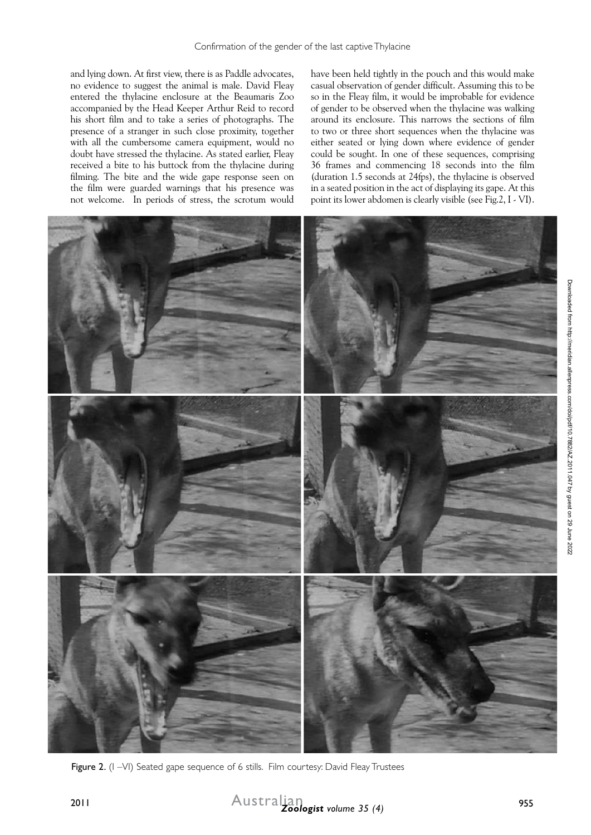and lying down. At first view, there is as Paddle advocates, no evidence to suggest the animal is male. David Fleay entered the thylacine enclosure at the Beaumaris Zoo accompanied by the Head Keeper Arthur Reid to record his short film and to take a series of photographs. The presence of a stranger in such close proximity, together with all the cumbersome camera equipment, would no doubt have stressed the thylacine. As stated earlier, Fleay received a bite to his buttock from the thylacine during filming. The bite and the wide gape response seen on the film were guarded warnings that his presence was not welcome. In periods of stress, the scrotum would

have been held tightly in the pouch and this would make casual observation of gender difficult. Assuming this to be so in the Fleay film, it would be improbable for evidence of gender to be observed when the thylacine was walking around its enclosure. This narrows the sections of film to two or three short sequences when the thylacine was either seated or lying down where evidence of gender could be sought. In one of these sequences, comprising 36 frames and commencing 18 seconds into the film (duration 1.5 seconds at 24fps), the thylacine is observed in a seated position in the act of displaying its gape. At this point its lower abdomen is clearly visible (see Fig.2, I - VI).



Figure 2. (I -VI) Seated gape sequence of 6 stills. Film courtesy: David Fleay Trustees

Australian *Zoologist volume 35 (4)* <sup>2011</sup>